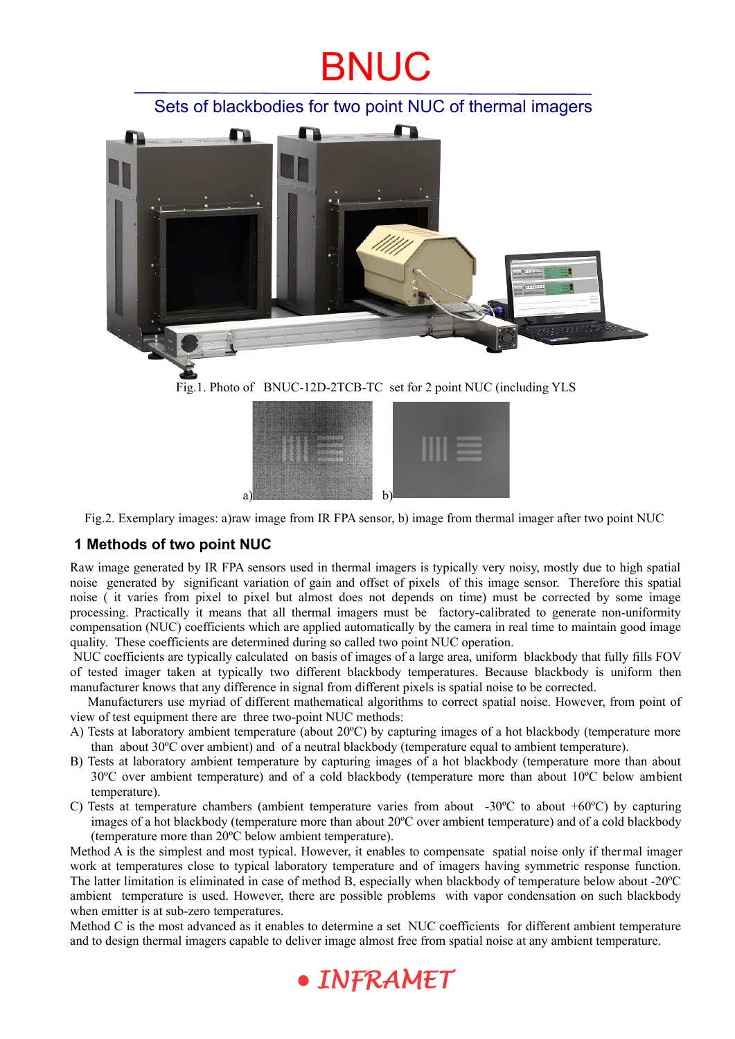## BNUC

### Sets of blackbodies for two point NUC of thermal imagers



Fig.1. Photo of BNUC-12D-2TCB-TC set for 2 point NUC (including YLS



Fig.2. Exemplary images: a)raw image from IR FPA sensor, b) image from thermal imager after two point NUC

#### **1 Methods of two point NUC**

Raw image generated by IR FPA sensors used in thermal imagers is typically very noisy, mostly due to high spatial noise generated by significant variation of gain and offset of pixels of this image sensor. Therefore this spatial noise ( it varies from pixel to pixel but almost does not depends on time) must be corrected by some image processing. Practically it means that all thermal imagers must be factory-calibrated to generate non-uniformity compensation (NUC) coefficients which are applied automatically by the camera in real time to maintain good image quality. These coefficients are determined during so called two point NUC operation.

 NUC coefficients are typically calculated on basis of images of a large area, uniform blackbody that fully fills FOV of tested imager taken at typically two different blackbody temperatures. Because blackbody is uniform then manufacturer knows that any difference in signal from different pixels is spatial noise to be corrected.

Manufacturers use myriad of different mathematical algorithms to correct spatial noise. However, from point of view of test equipment there are three two-point NUC methods:

- A) Tests at laboratory ambient temperature (about 20ºC) by capturing images of a hot blackbody (temperature more than about 30ºC over ambient) and of a neutral blackbody (temperature equal to ambient temperature).
- B) Tests at laboratory ambient temperature by capturing images of a hot blackbody (temperature more than about 30ºC over ambient temperature) and of a cold blackbody (temperature more than about 10ºC below ambient temperature).
- C) Tests at temperature chambers (ambient temperature varies from about -30 $^{\circ}$ C to about +60 $^{\circ}$ C) by capturing images of a hot blackbody (temperature more than about 20ºC over ambient temperature) and of a cold blackbody (temperature more than 20ºC below ambient temperature).

Method A is the simplest and most typical. However, it enables to compensate spatial noise only if thermal imager work at temperatures close to typical laboratory temperature and of imagers having symmetric response function. The latter limitation is eliminated in case of method B, especially when blackbody of temperature below about -20ºC ambient temperature is used. However, there are possible problems with vapor condensation on such blackbody when emitter is at sub-zero temperatures.

Method C is the most advanced as it enables to determine a set NUC coefficients for different ambient temperature and to design thermal imagers capable to deliver image almost free from spatial noise at any ambient temperature.

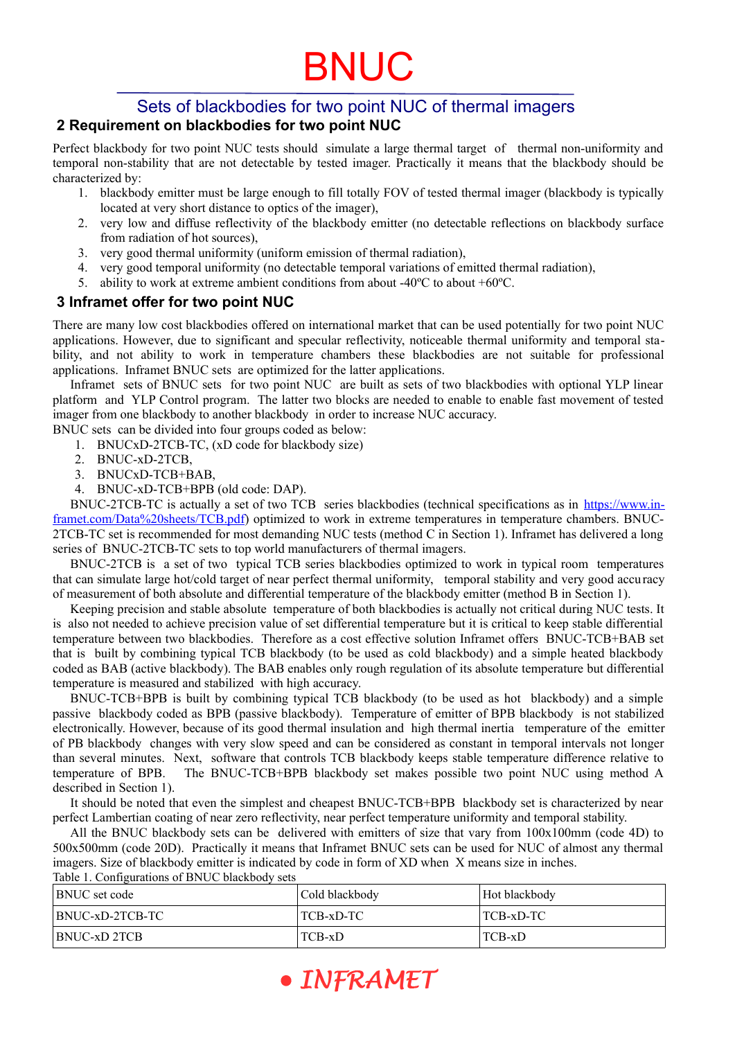# BNUC

#### Sets of blackbodies for two point NUC of thermal imagers  **2 Requirement on blackbodies for two point NUC**

Perfect blackbody for two point NUC tests should simulate a large thermal target of thermal non-uniformity and temporal non-stability that are not detectable by tested imager. Practically it means that the blackbody should be characterized by:

- 1. blackbody emitter must be large enough to fill totally FOV of tested thermal imager (blackbody is typically located at very short distance to optics of the imager),
- 2. very low and diffuse reflectivity of the blackbody emitter (no detectable reflections on blackbody surface from radiation of hot sources),
- 3. very good thermal uniformity (uniform emission of thermal radiation),
- 4. very good temporal uniformity (no detectable temporal variations of emitted thermal radiation),
- 5. ability to work at extreme ambient conditions from about -40ºC to about +60ºC.

#### **3 Inframet offer for two point NUC**

There are many low cost blackbodies offered on international market that can be used potentially for two point NUC applications. However, due to significant and specular reflectivity, noticeable thermal uniformity and temporal stability, and not ability to work in temperature chambers these blackbodies are not suitable for professional applications. Inframet BNUC sets are optimized for the latter applications.

Inframet sets of BNUC sets for two point NUC are built as sets of two blackbodies with optional YLP linear platform and YLP Control program. The latter two blocks are needed to enable to enable fast movement of tested imager from one blackbody to another blackbody in order to increase NUC accuracy.

BNUC sets can be divided into four groups coded as below:

- 1. BNUCxD-2TCB-TC, (xD code for blackbody size)
- 2. BNUC-xD-2TCB,
- 3. BNUCxD-TCB+BAB,
- 4. BNUC-xD-TCB+BPB (old code: DAP).

BNUC-2TCB-TC is actually a set of two TCB series blackbodies (technical specifications as in https://www.in[framet.com/Data%20sheets/TCB.pdf](https://www.inframet.com/Data%20sheets/TCB.pdf)) optimized to work in extreme temperatures in temperature chambers. BNUC-2TCB-TC set is recommended for most demanding NUC tests (method C in Section 1). Inframet has delivered a long series of BNUC-2TCB-TC sets to top world manufacturers of thermal imagers.

BNUC-2TCB is a set of two typical TCB series blackbodies optimized to work in typical room temperatures that can simulate large hot/cold target of near perfect thermal uniformity, temporal stability and very good accuracy of measurement of both absolute and differential temperature of the blackbody emitter (method B in Section 1).

Keeping precision and stable absolute temperature of both blackbodies is actually not critical during NUC tests. It is also not needed to achieve precision value of set differential temperature but it is critical to keep stable differential temperature between two blackbodies. Therefore as a cost effective solution Inframet offers BNUC-TCB+BAB set that is built by combining typical TCB blackbody (to be used as cold blackbody) and a simple heated blackbody coded as BAB (active blackbody). The BAB enables only rough regulation of its absolute temperature but differential temperature is measured and stabilized with high accuracy.

BNUC-TCB+BPB is built by combining typical TCB blackbody (to be used as hot blackbody) and a simple passive blackbody coded as BPB (passive blackbody). Temperature of emitter of BPB blackbody is not stabilized electronically. However, because of its good thermal insulation and high thermal inertia temperature of the emitter of PB blackbody changes with very slow speed and can be considered as constant in temporal intervals not longer than several minutes. Next, software that controls TCB blackbody keeps stable temperature difference relative to temperature of BPB. The BNUC-TCB+BPB blackbody set makes possible two point NUC using method A described in Section 1).

It should be noted that even the simplest and cheapest BNUC-TCB+BPB blackbody set is characterized by near perfect Lambertian coating of near zero reflectivity, near perfect temperature uniformity and temporal stability.

All the BNUC blackbody sets can be delivered with emitters of size that vary from 100x100mm (code 4D) to 500x500mm (code 20D). Practically it means that Inframet BNUC sets can be used for NUC of almost any thermal imagers. Size of blackbody emitter is indicated by code in form of XD when X means size in inches. Table 1. Configurations of BNUC blackbody sets

| <b>BNUC</b> set code | Cold blackbody | Hot blackbody |
|----------------------|----------------|---------------|
| BNUC-xD-2TCB-TC      | ' TCB-xD-TC    | TCB-xD-TC     |
| BNUC-xD 2TCB         | TCB-xD         | TCB-xD        |

· INFRAMET